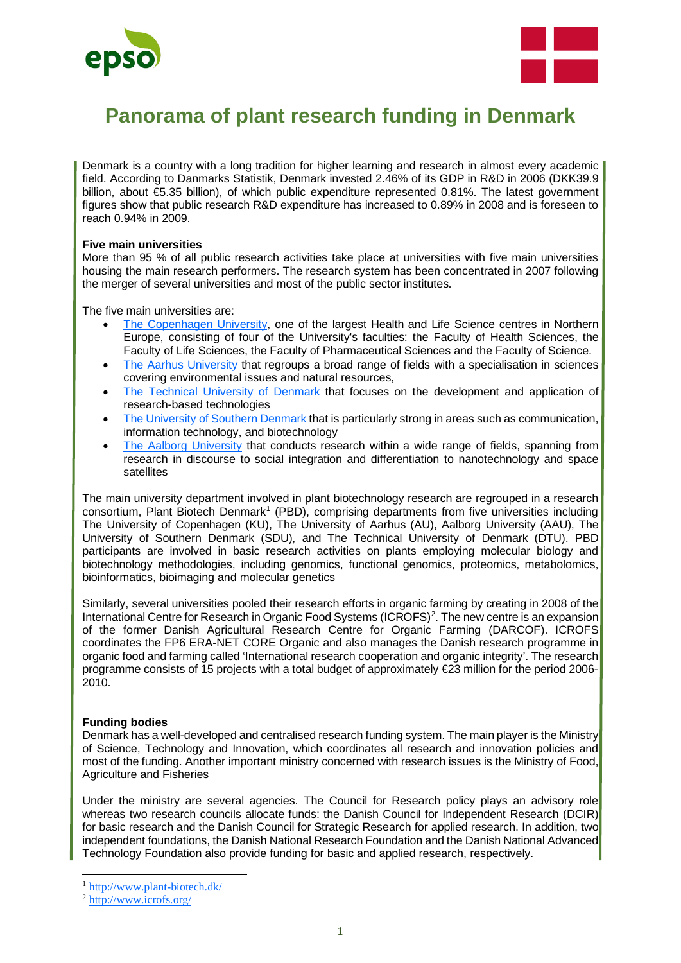



# **Panorama of plant research funding in Denmark**

Denmark is a country with a long tradition for higher learning and research in almost every academic field. According to Danmarks Statistik, Denmark invested 2.46% of its GDP in R&D in 2006 (DKK39.9 billion, about €5.35 billion), of which public expenditure represented 0.81%. The latest government figures show that public research R&D expenditure has increased to 0.89% in 2008 and is foreseen to reach 0.94% in 2009.

# **Five main universities**

More than 95 % of all public research activities take place at universities with five main universities housing the main research performers. The research system has been concentrated in 2007 following the merger of several universities and most of the public sector institutes.

The five main universities are:

- [The Copenhagen University,](https://www.ku.dk/english/) one of the largest Health and Life Science centres in Northern Europe, consisting of four of the University's faculties: the Faculty of Health Sciences, the Faculty of Life Sciences, the Faculty of Pharmaceutical Sciences and the Faculty of Science.
- [The Aarhus University](https://international.au.dk/) that regroups a broad range of fields with a specialisation in sciences covering environmental issues and natural resources,
- [The Technical University of Denmark](https://www.dtu.dk/english) that focuses on the development and application of research-based technologies
- [The University of Southern Denmark](https://www.sdu.dk/en) that is particularly strong in areas such as communication, information technology, and biotechnology
- [The Aalborg University](https://www.en.aau.dk/) that conducts research within a wide range of fields, spanning from research in discourse to social integration and differentiation to nanotechnology and space satellites

The main university department involved in plant biotechnology research are regrouped in a research consortium, Plant Biotech Denmark<sup>[1](#page-0-0)</sup> (PBD), comprising departments from five universities including The University of Copenhagen (KU), The University of Aarhus (AU), Aalborg University (AAU), The University of Southern Denmark (SDU), and The Technical University of Denmark (DTU). PBD participants are involved in basic research activities on plants employing molecular biology and biotechnology methodologies, including genomics, functional genomics, proteomics, metabolomics, bioinformatics, bioimaging and molecular genetics

Similarly, several universities pooled their research efforts in organic farming by creating in 2008 of the International Centre for Research in Organic Food Systems (ICROFS)[2.](#page-0-1) The new centre is an expansion of the former Danish Agricultural Research Centre for Organic Farming (DARCOF). ICROFS coordinates the FP6 ERA-NET CORE Organic and also manages the Danish research programme in organic food and farming called 'International research cooperation and organic integrity'. The research programme consists of 15 projects with a total budget of approximately €23 million for the period 2006- 2010.

# **Funding bodies**

Denmark has a well-developed and centralised research funding system. The main player is the Ministry of Science, Technology and Innovation, which coordinates all research and innovation policies and most of the funding. Another important ministry concerned with research issues is the Ministry of Food, Agriculture and Fisheries

Under the ministry are several agencies. The Council for Research policy plays an advisory role whereas two research councils allocate funds: the Danish Council for Independent Research (DCIR) for basic research and the Danish Council for Strategic Research for applied research. In addition, two independent foundations, the Danish National Research Foundation and the Danish National Advanced Technology Foundation also provide funding for basic and applied research, respectively.

<span id="page-0-0"></span><sup>1</sup> <http://www.plant-biotech.dk/>

<span id="page-0-1"></span><sup>2</sup> <http://www.icrofs.org/>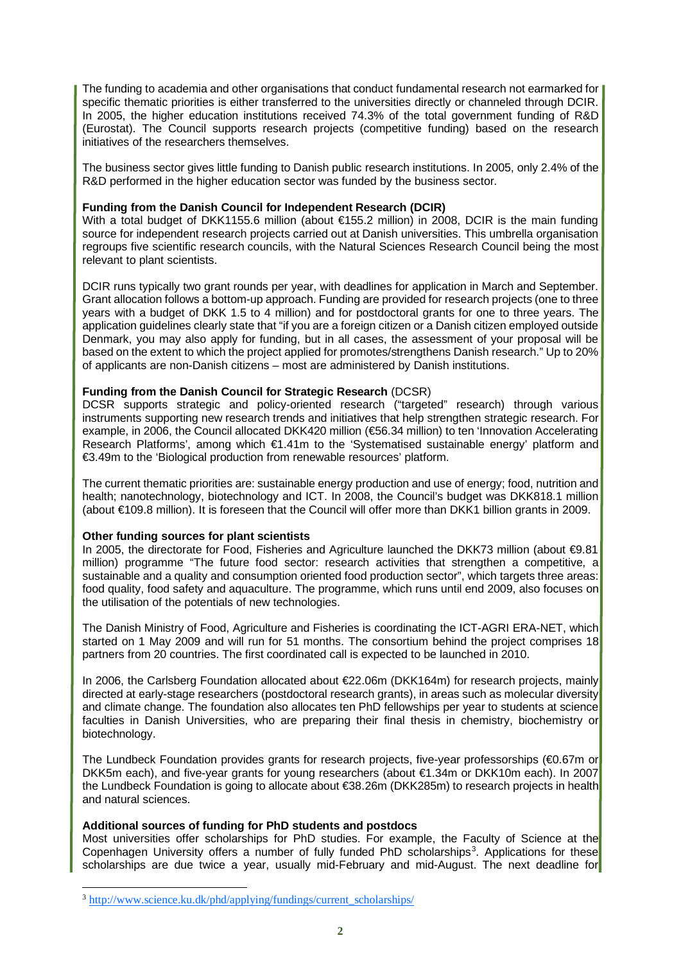The funding to academia and other organisations that conduct fundamental research not earmarked for specific thematic priorities is either transferred to the universities directly or channeled through DCIR. In 2005, the higher education institutions received 74.3% of the total government funding of R&D (Eurostat). The Council supports research projects (competitive funding) based on the research initiatives of the researchers themselves.

The business sector gives little funding to Danish public research institutions. In 2005, only 2.4% of the R&D performed in the higher education sector was funded by the business sector.

# **Funding from the Danish Council for Independent Research (DCIR)**

With a total budget of DKK1155.6 million (about €155.2 million) in 2008, DCIR is the main funding source for independent research projects carried out at Danish universities. This umbrella organisation regroups five scientific research councils, with the Natural Sciences Research Council being the most relevant to plant scientists.

DCIR runs typically two grant rounds per year, with deadlines for application in March and September. Grant allocation follows a bottom-up approach. Funding are provided for research projects (one to three years with a budget of DKK 1.5 to 4 million) and for postdoctoral grants for one to three years. The application guidelines clearly state that "if you are a foreign citizen or a Danish citizen employed outside Denmark, you may also apply for funding, but in all cases, the assessment of your proposal will be based on the extent to which the project applied for promotes/strengthens Danish research." Up to 20% of applicants are non-Danish citizens – most are administered by Danish institutions.

# **Funding from the Danish Council for Strategic Research** (DCSR)

DCSR supports strategic and policy-oriented research ("targeted" research) through various instruments supporting new research trends and initiatives that help strengthen strategic research. For example, in 2006, the Council allocated DKK420 million (€56.34 million) to ten 'Innovation Accelerating Research Platforms', among which €1.41m to the 'Systematised sustainable energy' platform and €3.49m to the 'Biological production from renewable resources' platform.

The current thematic priorities are: sustainable energy production and use of energy; food, nutrition and health; nanotechnology, biotechnology and ICT. In 2008, the Council's budget was DKK818.1 million (about €109.8 million). It is foreseen that the Council will offer more than DKK1 billion grants in 2009.

# **Other funding sources for plant scientists**

In 2005, the directorate for Food, Fisheries and Agriculture launched the DKK73 million (about €9.81 million) programme "The future food sector: research activities that strengthen a competitive, a sustainable and a quality and consumption oriented food production sector", which targets three areas: food quality, food safety and aquaculture. The programme, which runs until end 2009, also focuses on the utilisation of the potentials of new technologies.

The Danish Ministry of Food, Agriculture and Fisheries is coordinating the ICT-AGRI ERA-NET, which started on 1 May 2009 and will run for 51 months. The consortium behind the project comprises 18 partners from 20 countries. The first coordinated call is expected to be launched in 2010.

In 2006, the Carlsberg Foundation allocated about €22.06m (DKK164m) for research projects, mainly directed at early-stage researchers (postdoctoral research grants), in areas such as molecular diversity and climate change. The foundation also allocates ten PhD fellowships per year to students at science faculties in Danish Universities, who are preparing their final thesis in chemistry, biochemistry or biotechnology.

The Lundbeck Foundation provides grants for research projects, five-year professorships (€0.67m or DKK5m each), and five-year grants for young researchers (about €1.34m or DKK10m each). In 2007 the Lundbeck Foundation is going to allocate about €38.26m (DKK285m) to research projects in health and natural sciences.

# **Additional sources of funding for PhD students and postdocs**

Most universities offer scholarships for PhD studies. For example, the Faculty of Science at the Copenhagen University offers a number of fully funded PhD scholarships<sup>[3](#page-1-0)</sup>. Applications for these scholarships are due twice a year, usually mid-February and mid-August. The next deadline for

<span id="page-1-0"></span><sup>3</sup> [http://www.science.ku.dk/phd/applying/fundings/current\\_scholarships/](http://www.science.ku.dk/phd/applying/fundings/current_scholarships/)